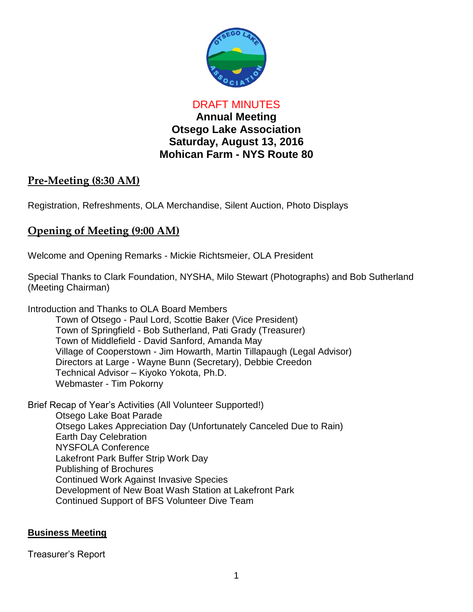

DRAFT MINUTES **Annual Meeting Otsego Lake Association Saturday, August 13, 2016 Mohican Farm - NYS Route 80**

### **Pre-Meeting (8:30 AM)**

Registration, Refreshments, OLA Merchandise, Silent Auction, Photo Displays

## **Opening of Meeting (9:00 AM)**

Welcome and Opening Remarks - Mickie Richtsmeier, OLA President

Special Thanks to Clark Foundation, NYSHA, Milo Stewart (Photographs) and Bob Sutherland (Meeting Chairman)

Introduction and Thanks to OLA Board Members Town of Otsego - Paul Lord, Scottie Baker (Vice President) Town of Springfield - Bob Sutherland, Pati Grady (Treasurer) Town of Middlefield - David Sanford, Amanda May Village of Cooperstown - Jim Howarth, Martin Tillapaugh (Legal Advisor) Directors at Large - Wayne Bunn (Secretary), Debbie Creedon Technical Advisor – Kiyoko Yokota, Ph.D. Webmaster - Tim Pokorny

Brief Recap of Year's Activities (All Volunteer Supported!) Otsego Lake Boat Parade Otsego Lakes Appreciation Day (Unfortunately Canceled Due to Rain) Earth Day Celebration NYSFOLA Conference Lakefront Park Buffer Strip Work Day Publishing of Brochures Continued Work Against Invasive Species Development of New Boat Wash Station at Lakefront Park Continued Support of BFS Volunteer Dive Team

#### **Business Meeting**

Treasurer's Report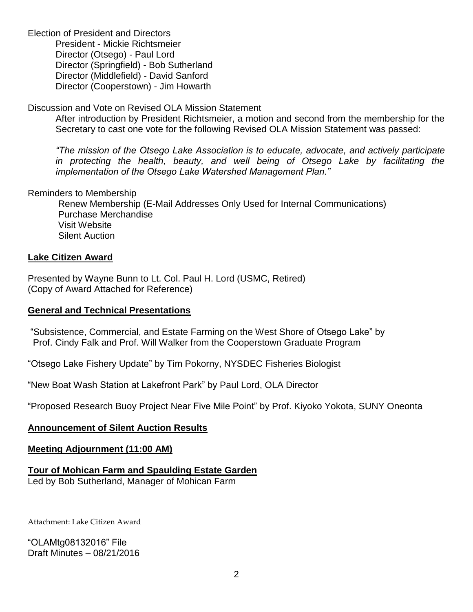Election of President and Directors President - Mickie Richtsmeier Director (Otsego) - Paul Lord Director (Springfield) - Bob Sutherland Director (Middlefield) - David Sanford Director (Cooperstown) - Jim Howarth

#### Discussion and Vote on Revised OLA Mission Statement

After introduction by President Richtsmeier, a motion and second from the membership for the Secretary to cast one vote for the following Revised OLA Mission Statement was passed:

*"The mission of the Otsego Lake Association is to educate, advocate, and actively participate*  in protecting the health, beauty, and well being of Otsego Lake by facilitating the *implementation of the Otsego Lake Watershed Management Plan."*

#### Reminders to Membership

Renew Membership (E-Mail Addresses Only Used for Internal Communications) Purchase Merchandise Visit Website Silent Auction

#### **Lake Citizen Award**

Presented by Wayne Bunn to Lt. Col. Paul H. Lord (USMC, Retired) (Copy of Award Attached for Reference)

#### **General and Technical Presentations**

"Subsistence, Commercial, and Estate Farming on the West Shore of Otsego Lake" by Prof. Cindy Falk and Prof. Will Walker from the Cooperstown Graduate Program

"Otsego Lake Fishery Update" by Tim Pokorny, NYSDEC Fisheries Biologist

"New Boat Wash Station at Lakefront Park" by Paul Lord, OLA Director

"Proposed Research Buoy Project Near Five Mile Point" by Prof. Kiyoko Yokota, SUNY Oneonta

#### **Announcement of Silent Auction Results**

#### **Meeting Adjournment (11:00 AM)**

#### **Tour of Mohican Farm and Spaulding Estate Garden**

Led by Bob Sutherland, Manager of Mohican Farm

Attachment: Lake Citizen Award

"OLAMtg08132016" File Draft Minutes – 08/21/2016